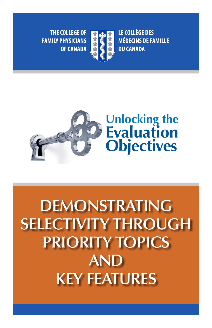**THE COLLEGE OF FAMILY PHYSICIANS OF CANADA** 



**LE COLLÈGE DES MÉDECINS DE FAMILLE DU CANADA** 



# **DEMONSTRATING SELECTIVITY THROUGH PRIORITY TOPICS AND KEY FEATURES**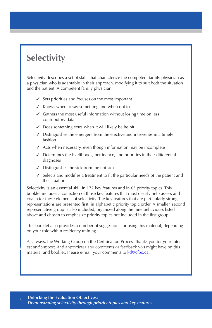# **Selectivity**

Selectivity describes a set of skills that characterize the competent family physician as a physician who is adaptable in their approach, modifying it to suit both the situation and the patient. A competent family physician:

- $\checkmark$  Sets priorities and focuses on the most important
- $\checkmark$  Knows when to say something and when not to
- $\angle$  Gathers the most useful information without losing time on less contributory data
- $\angle$  Does something extra when it will likely be helpful
- $\checkmark$  Distinguishes the emergent from the elective and intervenes in a timely fashion
- $\angle$  Acts when necessary, even though information may be incomplete
- $\checkmark$  Determines the likelihoods, pertinence, and priorities in their differential diagnoses
- $\checkmark$  Distinguishes the sick from the not sick
- ✓ Selects and modifies a treatment to fit the particular needs of the patient and the situation

Selectivity is an essential skill in 172 key features and in 63 priority topics. This booklet includes a collection of those key features that most clearly help assess and coach for these elements of selectivity. The key features that are particularly strong representations are presented first, in alphabetic priority topic order. A smaller, second representative group is also included, organized along the nine behaviours listed above and chosen to emphasize priority topics not included in the first group.

This booklet also provides a number of suggestions for using this material, depending on your role within residency training.

As always, the Working Group on the Certification Process thanks you for your interest and support, and appreciates any comments or feedback you might have on this material and booklet. Please e-mail your comments to kd@cfpc.ca.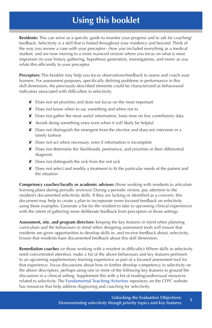# **Using this booklet**

**Residents:** This can serve as a specific guide to monitor your progress and to ask for coaching/ feedback. Selectivity is a skill that is honed throughout your residency and beyond. Think of the way you review a case with your preceptor—how you included everything as a medical student, and are now moving to a more nuanced version where you focus on what is most important (in your history gathering, hypothesis generation, investigations, and more) as you relate this efficiently to your preceptor.

**Preceptors:** This booklet may help you focus observations/feedback to assess and coach your learners. For assessment purposes, specifically defining problems in performance in this skill dimension, the previously-described elements could be characterized as behavioural indicators associated with difficulties in selectivity.

- ✘ Does not set priorities and does not focus on the most important
- ✘ Does not know when to say something and when not to
- ✘ Does not gather the most useful information, loses time on less contributory data
- ✘ Avoids doing something extra even when it will likely be helpful
- ✘ Does not distinguish the emergent from the elective and does not intervene in a timely fashion
- ✘ Does not act when necessary, even if information is incomplete
- ✘ Does not determine the likelihoods, pertinence, and priorities in their differential diagnosis
- $\times$  Does not distinguish the sick from the not sick
- ✘ Does not select and modify a treatment to fit the particular needs of the patient and the situation

**Competency coaches/faculty or academic advisors** (those working with residents to articulate learning plans during periodic reviews)**:** During a periodic review, pay attention to the resident's documented selectivity skills. If they are lacking or identified as a concern, this document may help to create a plan to incorporate more focused feedback on selectivity using these examples. Generate a list for the resident to take to upcoming clinical experiences with the intent of gathering more deliberate feedback from preceptors in those settings.

**Assessment, site, and program directors:** Keeping the key features in mind when planning curriculum and the behaviours in mind when designing assessment tools will ensure that residents are given opportunities to develop skills in, and receive feedback about, selectivity. Ensure that residents have documented feedback about this skill dimension.

**Remediation coaches** (or those working with a resident in difficulty)**:** Where skills in selectivity need concentrated attention, make a list of the above behaviours and key features pertinent to an upcoming supplementary learning experience as part of a focused assessment tool for that experience. Focus discussions about how to further develop competency in selectivity on the above descriptors, perhaps using one or more of the following key features to ground the discussion in a clinical setting. Supplement this with a list of reading/audiovisual resources related to selectivity. The Fundamental Teaching Activities repository on the CFPC website has resources that help address diagnosing and coaching for selectivity.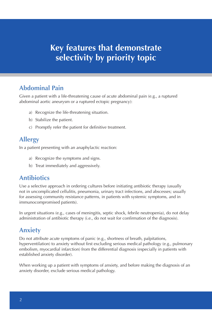#### **Abdominal Pain**

Given a patient with a life-threatening cause of acute abdominal pain (e.g., a ruptured abdominal aortic aneurysm or a ruptured ectopic pregnancy):

- a) Recognize the life-threatening situation.
- b) Stabilize the patient.
- c) Promptly refer the patient for definitive treatment.

#### **Allergy**

In a patient presenting with an anaphylactic reaction:

- a) Recognize the symptoms and signs.
- b) Treat immediately and aggressively.

#### **Antibiotics**

Use a selective approach in ordering cultures before initiating antibiotic therapy (usually not in uncomplicated cellulitis, pneumonia, urinary tract infections, and abscesses; usually for assessing community resistance patterns, in patients with systemic symptoms, and in immunocompromised patients).

In urgent situations (e.g., cases of meningitis, septic shock, febrile neutropenia), do not delay administration of antibiotic therapy (i.e., do not wait for confirmation of the diagnosis).

#### **Anxiety**

embolism, myocardial infarction) from the differential diagnosis (especially in patients with Do not attribute acute symptoms of panic (e.g., shortness of breath, palpitations, hyperventilation) to anxiety without first excluding serious medical pathology (e.g., pulmonary established anxiety disorder).

When working up a patient with symptoms of anxiety, and before making the diagnosis of an anxiety disorder, exclude serious medical pathology.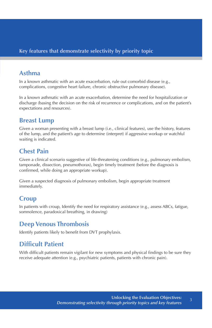#### **Asthma**

In a known asthmatic with an acute exacerbation, rule out comorbid disease (e.g., complications, congestive heart failure, chronic obstructive pulmonary disease).

In a known asthmatic with an acute exacerbation, determine the need for hospitalization or discharge (basing the decision on the risk of recurrence or complications, and on the patient's expectations and resources).

#### **Breast Lump**

Given a woman presenting with a breast lump (i.e., clinical features), use the history, features of the lump, and the patient's age to determine (interpret) if aggressive workup or watchful waiting is indicated.

#### **Chest Pain**

Given a clinical scenario suggestive of life-threatening conditions (e.g., pulmonary embolism, tamponade, dissection, pneumothorax), begin timely treatment (before the diagnosis is confirmed, while doing an appropriate workup).

Given a suspected diagnosis of pulmonary embolism, begin appropriate treatment immediately.

#### **Croup**

In patients with croup, Identify the need for respiratory assistance (e.g., assess ABCs, fatigue, somnolence, paradoxical breathing, in drawing)

#### **Deep Venous Thrombosis**

Identify patients likely to benefit from DVT prophylaxis.

### **Difficult Patient**

With difficult patients remain vigilant for new symptoms and physical findings to be sure they receive adequate attention (e.g., psychiatric patients, patients with chronic pain).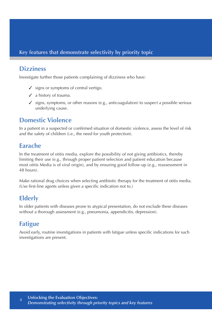# **Dizziness**

Investigate further those patients complaining of dizziness who have:

- $\checkmark$  signs or symptoms of central vertigo.
- $\checkmark$  a history of trauma.
- $\checkmark$  signs, symptoms, or other reasons (e.g., anticoagulation) to suspect a possible serious underlying cause.

#### **Domestic Violence**

In a patient in a suspected or confirmed situation of domestic violence, assess the level of risk and the safety of children (i.e., the need for youth protection).

#### **Earache**

In the treatment of otitis media, explore the possibility of not giving antibiotics, thereby limiting their use (e.g., through proper patient selection and patient education because most otitis Media is of viral origin), and by ensuring good follow-up (e.g., reassessment in 48 hours).

Make rational drug choices when selecting antibiotic therapy for the treatment of otitis media. (Use first-line agents unless given a specific indication not to.)

# **Elderly**

In older patients with diseases prone to atypical presentation, do not exclude these diseases without a thorough assessment (e.g., pneumonia, appendicitis, depression).

# **Fatigue**

Avoid early, routine investigations in patients with fatigue unless specific indications for such investigations are present.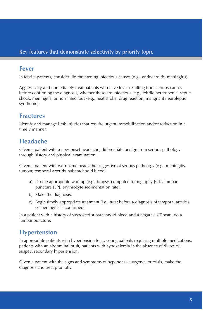#### **Fever**

In febrile patients, consider life-threatening infectious causes (e.g., endocarditis, meningitis).

Aggressively and immediately treat patients who have fever resulting from serious causes before confirming the diagnosis, whether these are infectious (e.g., febrile neutropenia, septic shock, meningitis) or non-infectious (e.g., heat stroke, drug reaction, malignant neuroleptic syndrome).

#### **Fractures**

Identify and manage limb injuries that require urgent immobilization and/or reduction in a timely manner.

#### **Headache**

Given a patient with a new-onset headache, differentiate benign from serious pathology through history and physical examination.

Given a patient with worrisome headache suggestive of serious pathology (e.g., meningitis, tumour, temporal arteritis, subarachnoid bleed):

- a) Do the appropriate workup (e.g., biopsy, computed tomography [CT], lumbar puncture [LP], erythrocyte sedimentation rate).
- b) Make the diagnosis.
- c) Begin timely appropriate treatment (i.e., treat before a diagnosis of temporal arteritis or meningitis is confirmed).

In a patient with a history of suspected subarachnoid bleed and a negative CT scan, do a lumbar puncture.

#### **Hypertension**

In appropriate patients with hypertension (e.g., young patients requiring multiple medications, patients with an abdominal bruit, patients with hypokalemia in the absence of diuretics), suspect secondary hypertension.

Given a patient with the signs and symptoms of hypertensive urgency or crisis, make the diagnosis and treat promptly.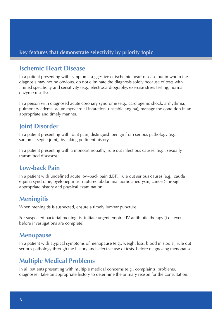#### **Ischemic Heart Disease**

In a patient presenting with symptoms suggestive of ischemic heart disease but in whom the diagnosis may not be obvious, do not eliminate the diagnosis solely because of tests with limited specificity and sensitivity (e.g., electrocardiography, exercise stress testing, normal enzyme results).

In a person with diagnosed acute coronary syndrome (e.g., cardiogenic shock, arrhythmia, pulmonary edema, acute myocardial infarction, unstable angina), manage the condition in an appropriate and timely manner.

#### **Joint Disorder**

In a patient presenting with joint pain, distinguish benign from serious pathology (e.g., sarcoma, septic joint), by taking pertinent history.

In a patient presenting with a monoarthropathy, rule out infectious causes. (e.g., sexually transmitted diseases).

#### **Low-back Pain**

In a patient with undefined acute low-back pain (LBP), rule out serious causes (e.g., cauda equina syndrome, pyelonephritis, ruptured abdominal aortic aneurysm, cancer) through appropriate history and physical examination.

#### **Meningitis**

When meningitis is suspected, ensure a timely lumbar puncture.

For suspected bacterial meningitis, initiate urgent empiric IV antibiotic therapy (i.e., even before investigations are complete).

#### **Menopause**

serious pathology through the history and selective use of tests, before diagnosing menopause. In a patient with atypical symptoms of menopause (e.g., weight loss, blood in stools), rule out

#### **Multiple Medical Problems**

In all patients presenting with multiple medical concerns (e.g., complaints, problems, diagnoses), take an appropriate history to determine the primary reason for the consultation.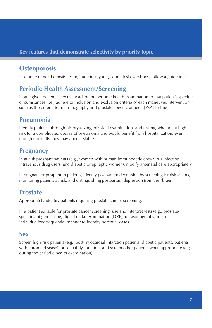### **Osteoporosis**

Use bone mineral density testing judiciously (e.g., don't test everybody, follow a guideline).

#### **Periodic Health Assessment/Screening**

In any given patient, selectively adapt the periodic health examination to that patient's specific circumstances (i.e., adhere to inclusion and exclusion criteria of each maneuver/intervention, such as the criteria for mammography and prostate-specific antigen [PSA] testing).

#### **Pneumonia**

Identify patients, through history-taking, physical examination, and testing, who are at high risk for a complicated course of pneumonia and would benefit from hospitalization, even though clinically they may appear stable.

#### **Pregnancy**

In at-risk pregnant patients (e.g., women with human immunodeficiency virus infection, intravenous drug users, and diabetic or epileptic women), modify antenatal care appropriately.

In pregnant or postpartum patients, identify postpartum depression by screening for risk factors, monitoring patients at risk, and distinguishing postpartum depression from the "blues."

#### **Prostate**

Appropriately identify patients requiring prostate cancer screening.

In a patient suitable for prostate cancer screening, use and interpret tests (e.g., prostatespecific antigen testing, digital rectal examination [DRE], ultrasonography) in an individualized/sequential manner to identify potential cases.

#### **Sex**

Screen high-risk patients (e.g., post-myocardial infarction patients, diabetic patients, patients with chronic disease) for sexual dysfunction, and screen other patients when appropriate (e.g., during the periodic health examination).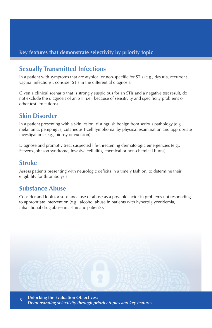#### **Sexually Transmitted Infections**

In a patient with symptoms that are atypical or non-specific for STIs (e.g., dysuria, recurrent vaginal infections), consider STIs in the differential diagnosis.

Given a clinical scenario that is strongly suspicious for an STIs and a negative test result, do not exclude the diagnosis of an STI (i.e., because of sensitivity and specificity problems or other test limitations).

#### **Skin Disorder**

In a patient presenting with a skin lesion, distinguish benign from serious pathology (e.g., melanoma, pemphigus, cutaneous T-cell lymphoma) by physical examination and appropriate investigations (e.g., biopsy or excision).

Diagnose and promptly treat suspected life-threatening dermatologic emergencies (e.g., Stevens-Johnson syndrome, invasive cellulitis, chemical or non-chemical burns).

#### **Stroke**

Assess patients presenting with neurologic deficits in a timely fashion, to determine their eligibility for thrombolysis.

#### **Substance Abuse**

Consider and look for substance use or abuse as a possible factor in problems not responding to appropriate intervention (e.g., alcohol abuse in patients with hypertriglyceridemia, inhalational drug abuse in asthmatic patients).

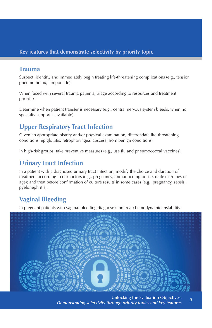#### **Trauma**

Suspect, identify, and immediately begin treating life-threatening complications (e.g., tension pneumothorax, tamponade).

When faced with several trauma patients, triage according to resources and treatment priorities.

Determine when patient transfer is necessary (e.g., central nervous system bleeds, when no specialty support is available).

# **Upper Respiratory Tract Infection**

Given an appropriate history and/or physical examination, differentiate life-threatening conditions (epiglottitis, retropharyngeal abscess) from benign conditions.

In high-risk groups, take preventive measures (e.g., use flu and pneumococcal vaccines).

#### **Urinary Tract Infection**

In a patient with a diagnosed urinary tract infection, modify the choice and duration of treatment according to risk factors (e.g., pregnancy, immunocompromise, male extremes of age); and treat before confirmation of culture results in some cases (e.g., pregnancy, sepsis, pyelonephritis).

# **Vaginal Bleeding**

In pregnant patients with vaginal bleeding diagnose (and treat) hemodynamic instability.

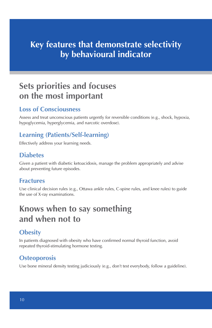# **Key features that demonstrate selectivity by behavioural indicator**

# **Sets priorities and focuses on the most important**

#### **Loss of Consciousness**

Assess and treat unconscious patients urgently for reversible conditions (e.g., shock, hypoxia, hypoglycemia, hyperglycemia, and narcotic overdose).

# **Learning (Patients/Self-learning)**

Effectively address your learning needs.

#### **Diabetes**

Given a patient with diabetic ketoacidosis, manage the problem appropriately and advise about preventing future episodes.

#### **Fractures**

Use clinical decision rules (e.g., Ottawa ankle rules, C-spine rules, and knee rules) to guide the use of X-ray examinations.

# **Knows when to say something and when not to**

### **Obesity**

repeated thyroid-stimulating hormone testing. In patients diagnosed with obesity who have confirmed normal thyroid function, avoid

### **Osteoporosis**

Use bone mineral density testing judiciously (e.g., don't test everybody, follow a guideline).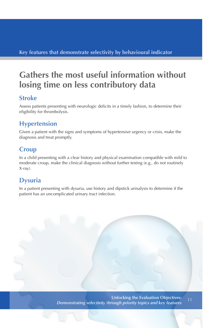# **Gathers the most useful information without losing time on less contributory data**

#### **Stroke**

Assess patients presenting with neurologic deficits in a timely fashion, to determine their eligibility for thrombolysis.

# **Hypertension**

Given a patient with the signs and symptoms of hypertensive urgency or crisis, make the diagnosis and treat promptly.

### **Croup**

In a child presenting with a clear history and physical examination compatible with mild to moderate croup, make the clinical diagnosis without further testing (e.g., do not routinely X-ray).

### **Dysuria**

In a patient presenting with dysuria, use history and dipstick urinalysis to determine if the patient has an uncomplicated urinary tract infection.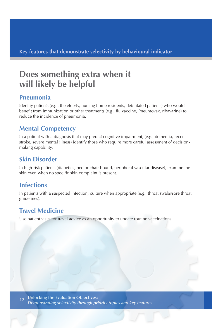# **Does something extra when it will likely be helpful**

#### **Pneumonia**

Identify patients (e.g., the elderly, nursing home residents, debilitated patients) who would benefit from immunization or other treatments (e.g., flu vaccine, Pneumovax, ribavarine) to reduce the incidence of pneumonia.

### **Mental Competency**

In a patient with a diagnosis that may predict cognitive impairment, (e.g., dementia, recent stroke, severe mental illness) identify those who require more careful assessment of decisionmaking capability.

# **Skin Disorder**

In high-risk patients (diabetics, bed or chair bound, peripheral vascular disease), examine the skin even when no specific skin complaint is present.

### **Infections**

In patients with a suspected infection, culture when appropriate (e.g., throat swabs/sore throat guidelines).

# **Travel Medicine**

Use patient visits for travel advice as an opportunity to update routine vaccinations.

*DEMONSTRATING SELECTIVITY THOUGH PRIORITY TOPICS AND KEY FEATURES*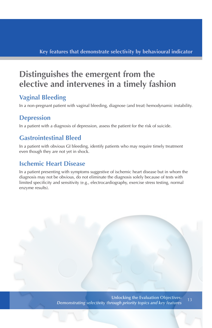# **Distinguishes the emergent from the elective and intervenes in a timely fashion**

# **Vaginal Bleeding**

In a non-pregnant patient with vaginal bleeding, diagnose (and treat) hemodynamic instability.

#### **Depression**

In a patient with a diagnosis of depression, assess the patient for the risk of suicide.

#### **Gastrointestinal Bleed**

In a patient with obvious GI bleeding, identify patients who may require timely treatment even though they are not yet in shock.

#### **Ischemic Heart Disease**

In a patient presenting with symptoms suggestive of ischemic heart disease but in whom the diagnosis may not be obvious, do not eliminate the diagnosis solely because of tests with limited specificity and sensitivity (e.g., electrocardiography, exercise stress testing, normal enzyme results).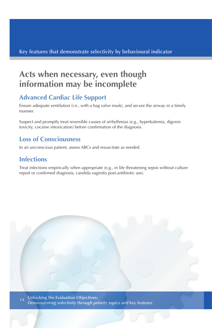# **Acts when necessary, even though information may be incomplete**

# **Advanced Cardiac Life Support**

Ensure adequate ventilation (i.e., with a bag valve mask), and secure the airway in a timely manner.

Suspect and promptly treat reversible causes of arrhythmias (e.g., hyperkalemia, digoxin toxicity, cocaine intoxication) before confirmation of the diagnosis.

#### **Loss of Consciousness**

In an unconscious patient, assess ABCs and resuscitate as needed.

# **Infections**

Treat infections empirically when appropriate (e.g., in life threatening sepsis without culture report or confirmed diagnosis, candida vaginitis post-antibiotic use).

**Unlocking the Evaluation Objectives:**  <sub>14</sub> Unlocking the Evaluation Objectives:<br>*Demonstrating selectivity through priority topics and key features* 

*DEMONSTRATING SELECTIVITY THOUGH PRIORITY TOPICS AND KEY FEATURES*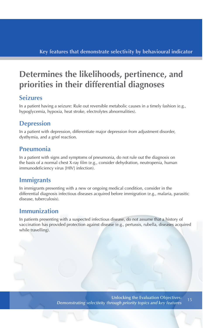# **Determines the likelihoods, pertinence, and priorities in their differential diagnoses**

#### **Seizures**

In a patient having a seizure: Rule out reversible metabolic causes in a timely fashion (e.g., hypoglycemia, hypoxia, heat stroke, electrolytes abnormalities).

### **Depression**

In a patient with depression, differentiate major depression from adjustment disorder, dysthymia, and a grief reaction.

#### **Pneumonia**

In a patient with signs and symptoms of pneumonia, do not rule out the diagnosis on the basis of a normal chest X-ray film (e.g., consider dehydration, neutropenia, human immunodeficiency virus [HIV] infection).

#### **Immigrants**

In immigrants presenting with a new or ongoing medical condition, consider in the differential diagnosis infectious diseases acquired before immigration (e.g., malaria, parasitic disease, tuberculosis).

#### **Immunization**

In patients presenting with a suspected infectious disease, do not assume that a history of vaccination has provided protection against disease (e.g., pertussis, rubella, diseases acquired while travelling).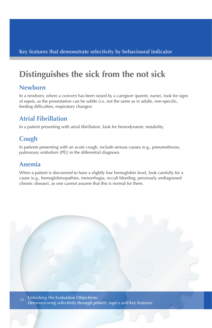# **Distinguishes the sick from the not sick**

#### **Newborn**

In a newborn, where a concern has been raised by a caregiver (parent, nurse), look for signs of sepsis, as the presentation can be subtle (i.e. not the same as in adults, non-specific, feeding difficulties, respiratory changes)

# **Atrial Fibrillation**

In a patient presenting with atrial fibrillation, look for hemodynamic instability.

# **Cough**

In patients presenting with an acute cough, include serious causes (e.g., pneumothorax, pulmonary embolism [PE]) in the differential diagnosis.

### **Anemia**

When a patient is discovered to have a slightly low hemoglobin level, look carefully for a cause (e.g., hemoglobinopathies, menorrhagia, occult bleeding, previously undiagnosed chronic disease), as one cannot assume that this is normal for them.

**Unlocking the Evaluation Objectives:**  *Demonstrating selectivity through priority topics and key features* 

*DEMONSTRATING SELECTIVITY THOUGH PRIORITY TOPICS AND KEY FEATURES*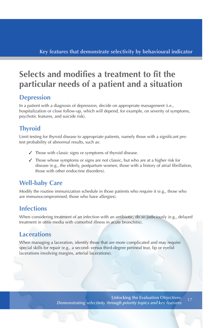# **Selects and modifies a treatment to fit the particular needs of a patient and a situation**

#### **Depression**

In a patient with a diagnosis of depression, decide on appropriate management (i.e., hospitalization or close follow-up, which will depend, for example, on severity of symptoms, psychotic features, and suicide risk).

# **Thyroid**

Limit testing for thyroid disease to appropriate patients, namely those with a significant pretest probability of abnormal results, such as:

- ✓ Those with classic signs or symptoms of thyroid disease.
- ✓ Those whose symptoms or signs are not classic, but who are at a higher risk for disease (e.g., the elderly, postpartum women, those with a history of atrial fibrillation, those with other endocrine disorders).

### **Well-baby Care**

Modify the routine immunization schedule in those patients who require it (e.g., those who are immunocompromised, those who have allergies).

### **Infections**

When considering treatment of an infection with an antibiotic, do so judiciously (e.g., delayed treatment in otitis media with comorbid illness in acute bronchitis).

#### **Lacerations**

When managing a laceration, identify those that are more complicated and may require special skills for repair (e.g., a second- versus third-degree perineal tear, lip or eyelid lacerations involving margins, arterial lacerations).